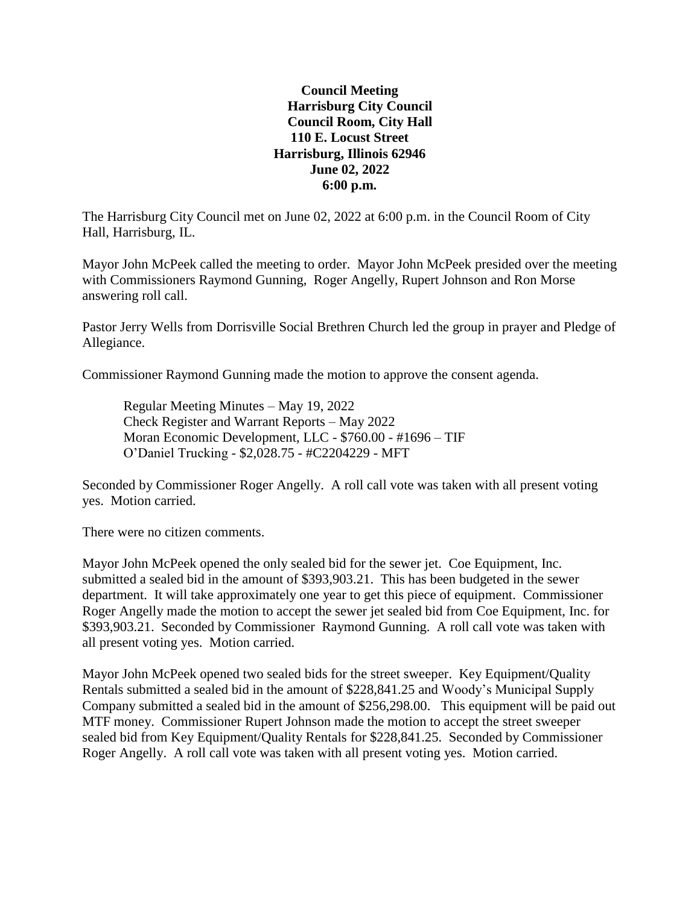## **Council Meeting Harrisburg City Council Council Room, City Hall 110 E. Locust Street Harrisburg, Illinois 62946 June 02, 2022 6:00 p.m.**

The Harrisburg City Council met on June 02, 2022 at 6:00 p.m. in the Council Room of City Hall, Harrisburg, IL.

Mayor John McPeek called the meeting to order. Mayor John McPeek presided over the meeting with Commissioners Raymond Gunning, Roger Angelly, Rupert Johnson and Ron Morse answering roll call.

Pastor Jerry Wells from Dorrisville Social Brethren Church led the group in prayer and Pledge of Allegiance.

Commissioner Raymond Gunning made the motion to approve the consent agenda.

Regular Meeting Minutes – May 19, 2022 Check Register and Warrant Reports – May 2022 Moran Economic Development, LLC - \$760.00 - #1696 – TIF O'Daniel Trucking - \$2,028.75 - #C2204229 - MFT

Seconded by Commissioner Roger Angelly. A roll call vote was taken with all present voting yes. Motion carried.

There were no citizen comments.

Mayor John McPeek opened the only sealed bid for the sewer jet. Coe Equipment, Inc. submitted a sealed bid in the amount of \$393,903.21. This has been budgeted in the sewer department. It will take approximately one year to get this piece of equipment. Commissioner Roger Angelly made the motion to accept the sewer jet sealed bid from Coe Equipment, Inc. for \$393,903.21. Seconded by Commissioner Raymond Gunning. A roll call vote was taken with all present voting yes. Motion carried.

Mayor John McPeek opened two sealed bids for the street sweeper. Key Equipment/Quality Rentals submitted a sealed bid in the amount of \$228,841.25 and Woody's Municipal Supply Company submitted a sealed bid in the amount of \$256,298.00. This equipment will be paid out MTF money. Commissioner Rupert Johnson made the motion to accept the street sweeper sealed bid from Key Equipment/Quality Rentals for \$228,841.25. Seconded by Commissioner Roger Angelly. A roll call vote was taken with all present voting yes. Motion carried.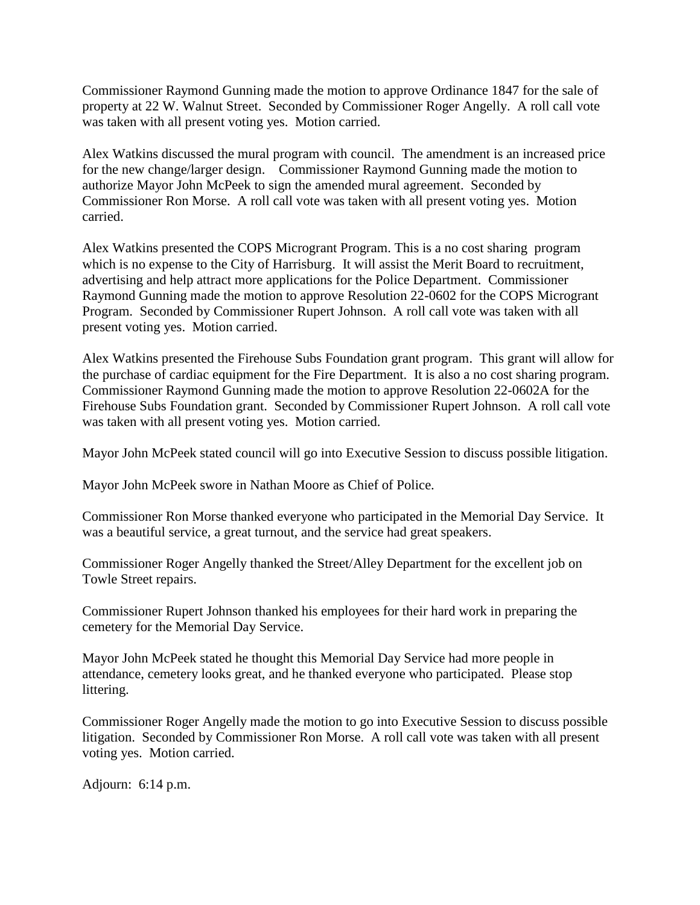Commissioner Raymond Gunning made the motion to approve Ordinance 1847 for the sale of property at 22 W. Walnut Street. Seconded by Commissioner Roger Angelly. A roll call vote was taken with all present voting yes. Motion carried.

Alex Watkins discussed the mural program with council. The amendment is an increased price for the new change/larger design. Commissioner Raymond Gunning made the motion to authorize Mayor John McPeek to sign the amended mural agreement. Seconded by Commissioner Ron Morse. A roll call vote was taken with all present voting yes. Motion carried.

Alex Watkins presented the COPS Microgrant Program. This is a no cost sharing program which is no expense to the City of Harrisburg. It will assist the Merit Board to recruitment, advertising and help attract more applications for the Police Department. Commissioner Raymond Gunning made the motion to approve Resolution 22-0602 for the COPS Microgrant Program. Seconded by Commissioner Rupert Johnson. A roll call vote was taken with all present voting yes. Motion carried.

Alex Watkins presented the Firehouse Subs Foundation grant program. This grant will allow for the purchase of cardiac equipment for the Fire Department. It is also a no cost sharing program. Commissioner Raymond Gunning made the motion to approve Resolution 22-0602A for the Firehouse Subs Foundation grant. Seconded by Commissioner Rupert Johnson. A roll call vote was taken with all present voting yes. Motion carried.

Mayor John McPeek stated council will go into Executive Session to discuss possible litigation.

Mayor John McPeek swore in Nathan Moore as Chief of Police.

Commissioner Ron Morse thanked everyone who participated in the Memorial Day Service. It was a beautiful service, a great turnout, and the service had great speakers.

Commissioner Roger Angelly thanked the Street/Alley Department for the excellent job on Towle Street repairs.

Commissioner Rupert Johnson thanked his employees for their hard work in preparing the cemetery for the Memorial Day Service.

Mayor John McPeek stated he thought this Memorial Day Service had more people in attendance, cemetery looks great, and he thanked everyone who participated. Please stop littering.

Commissioner Roger Angelly made the motion to go into Executive Session to discuss possible litigation. Seconded by Commissioner Ron Morse. A roll call vote was taken with all present voting yes. Motion carried.

Adjourn: 6:14 p.m.